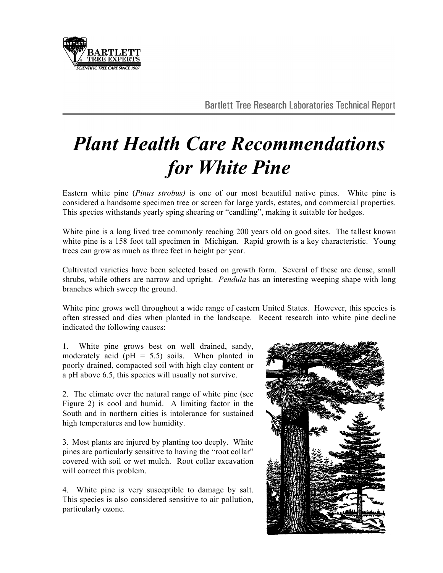

## *Plant Health Care Recommendations for White Pine*

Eastern white pine (*Pinus strobus)* is one of our most beautiful native pines. White pine is considered a handsome specimen tree or screen for large yards, estates, and commercial properties. This species withstands yearly sping shearing or "candling", making it suitable for hedges.

White pine is a long lived tree commonly reaching 200 years old on good sites. The tallest known white pine is a 158 foot tall specimen in Michigan. Rapid growth is a key characteristic. Young trees can grow as much as three feet in height per year.

Cultivated varieties have been selected based on growth form. Several of these are dense, small shrubs, while others are narrow and upright. *Pendula* has an interesting weeping shape with long branches which sweep the ground.

White pine grows well throughout a wide range of eastern United States. However, this species is often stressed and dies when planted in the landscape. Recent research into white pine decline indicated the following causes:

1. White pine grows best on well drained, sandy, moderately acid ( $pH = 5.5$ ) soils. When planted in poorly drained, compacted soil with high clay content or a pH above 6.5, this species will usually not survive.

2. The climate over the natural range of white pine (see Figure 2) is cool and humid. A limiting factor in the South and in northern cities is intolerance for sustained high temperatures and low humidity.

3. Most plants are injured by planting too deeply. White pines are particularly sensitive to having the "root collar" covered with soil or wet mulch. Root collar excavation will correct this problem.

4. White pine is very susceptible to damage by salt. This species is also considered sensitive to air pollution, particularly ozone.

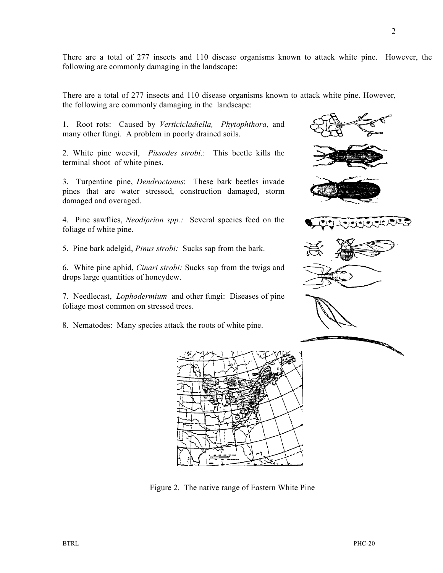There are a total of 277 insects and 110 disease organisms known to attack white pine. However, the following are commonly damaging in the landscape:

There are a total of 277 insects and 110 disease organisms known to attack white pine. However, the following are commonly damaging in the landscape:

1. Root rots: Caused by *Verticicladiella, Phytophthora*, and many other fungi. A problem in poorly drained soils.

2. White pine weevil, *Pissodes strobi*.: This beetle kills the terminal shoot of white pines.

3. Turpentine pine, *Dendroctonus*: These bark beetles invade pines that are water stressed, construction damaged, storm damaged and overaged.

4. Pine sawflies, *Neodiprion spp.:* Several species feed on the foliage of white pine.

5. Pine bark adelgid, *Pinus strobi:* Sucks sap from the bark.

6. White pine aphid, *Cinari strobi:* Sucks sap from the twigs and drops large quantities of honeydew.

7. Needlecast, *Lophodermium* and other fungi: Diseases of pine foliage most common on stressed trees.

8. Nematodes: Many species attack the roots of white pine.



Figure 2. The native range of Eastern White Pine